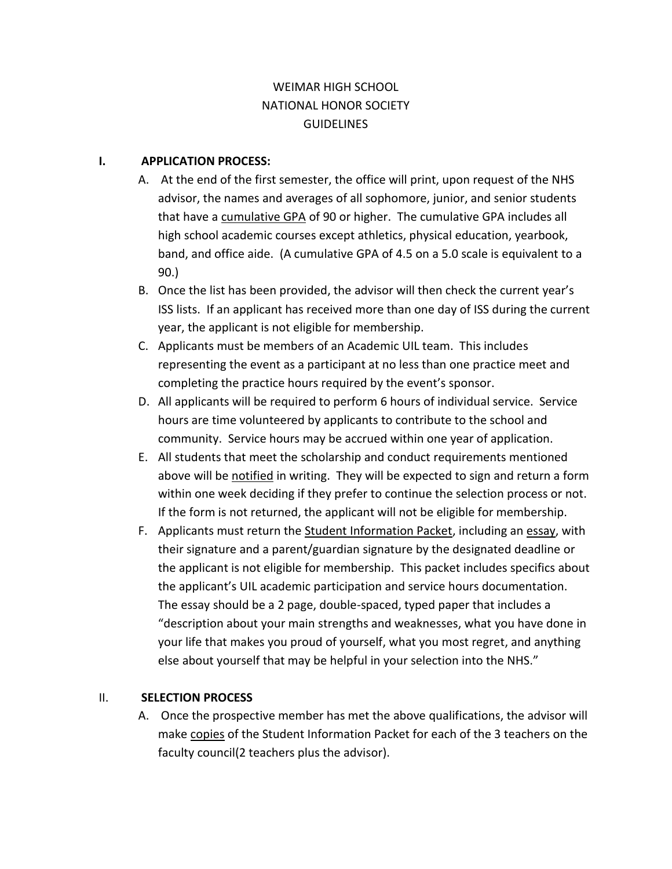# WEIMAR HIGH SCHOOL NATIONAL HONOR SOCIETY **GUIDELINES**

#### **I. APPLICATION PROCESS:**

- A. At the end of the first semester, the office will print, upon request of the NHS advisor, the names and averages of all sophomore, junior, and senior students that have a cumulative GPA of 90 or higher. The cumulative GPA includes all high school academic courses except athletics, physical education, yearbook, band, and office aide. (A cumulative GPA of 4.5 on a 5.0 scale is equivalent to a 90.)
- B. Once the list has been provided, the advisor will then check the current year's ISS lists. If an applicant has received more than one day of ISS during the current year, the applicant is not eligible for membership.
- C. Applicants must be members of an Academic UIL team. This includes representing the event as a participant at no less than one practice meet and completing the practice hours required by the event's sponsor.
- D. All applicants will be required to perform 6 hours of individual service. Service hours are time volunteered by applicants to contribute to the school and community. Service hours may be accrued within one year of application.
- E. All students that meet the scholarship and conduct requirements mentioned above will be notified in writing. They will be expected to sign and return a form within one week deciding if they prefer to continue the selection process or not. If the form is not returned, the applicant will not be eligible for membership.
- F. Applicants must return the Student Information Packet, including an essay, with their signature and a parent/guardian signature by the designated deadline or the applicant is not eligible for membership. This packet includes specifics about the applicant's UIL academic participation and service hours documentation. The essay should be a 2 page, double-spaced, typed paper that includes a "description about your main strengths and weaknesses, what you have done in your life that makes you proud of yourself, what you most regret, and anything else about yourself that may be helpful in your selection into the NHS."

#### II. **SELECTION PROCESS**

A. Once the prospective member has met the above qualifications, the advisor will make copies of the Student Information Packet for each of the 3 teachers on the faculty council(2 teachers plus the advisor).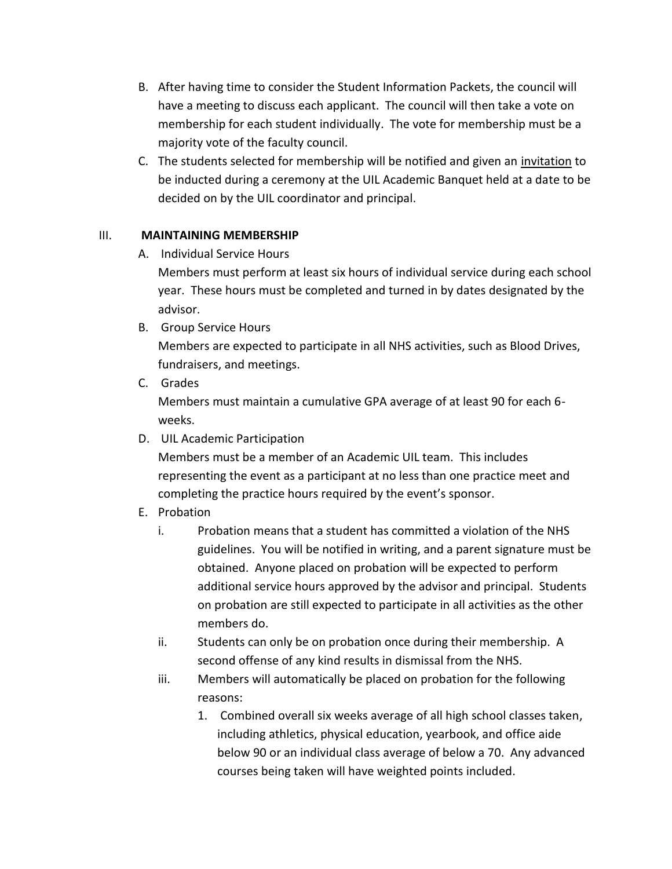- B. After having time to consider the Student Information Packets, the council will have a meeting to discuss each applicant. The council will then take a vote on membership for each student individually. The vote for membership must be a majority vote of the faculty council.
- C. The students selected for membership will be notified and given an invitation to be inducted during a ceremony at the UIL Academic Banquet held at a date to be decided on by the UIL coordinator and principal.

### III. **MAINTAINING MEMBERSHIP**

A. Individual Service Hours

Members must perform at least six hours of individual service during each school year. These hours must be completed and turned in by dates designated by the advisor.

B. Group Service Hours

Members are expected to participate in all NHS activities, such as Blood Drives, fundraisers, and meetings.

C. Grades

Members must maintain a cumulative GPA average of at least 90 for each 6 weeks.

D. UIL Academic Participation

Members must be a member of an Academic UIL team. This includes representing the event as a participant at no less than one practice meet and completing the practice hours required by the event's sponsor.

- E. Probation
	- i. Probation means that a student has committed a violation of the NHS guidelines. You will be notified in writing, and a parent signature must be obtained. Anyone placed on probation will be expected to perform additional service hours approved by the advisor and principal. Students on probation are still expected to participate in all activities as the other members do.
	- ii. Students can only be on probation once during their membership. A second offense of any kind results in dismissal from the NHS.
	- iii. Members will automatically be placed on probation for the following reasons:
		- 1. Combined overall six weeks average of all high school classes taken, including athletics, physical education, yearbook, and office aide below 90 or an individual class average of below a 70. Any advanced courses being taken will have weighted points included.